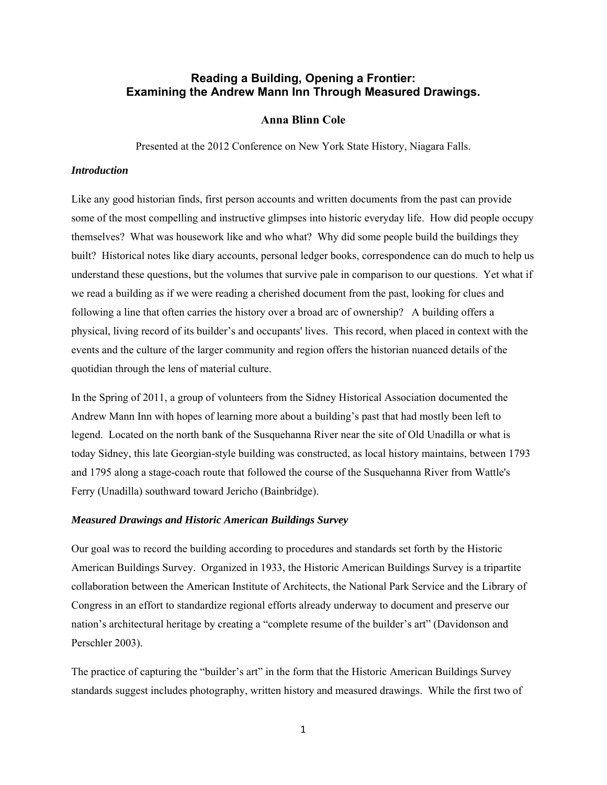# **Reading a Building, Opening a Frontier: Examining the Andrew Mann Inn Through Measured Drawings.**

# **Anna Blinn Cole**

Presented at the 2012 Conference on New York State History, Niagara Falls.

### *Introduction*

Like any good historian finds, first person accounts and written documents from the past can provide some of the most compelling and instructive glimpses into historic everyday life. How did people occupy themselves? What was housework like and who what? Why did some people build the buildings they built? Historical notes like diary accounts, personal ledger books, correspondence can do much to help us understand these questions, but the volumes that survive pale in comparison to our questions. Yet what if we read a building as if we were reading a cherished document from the past, looking for clues and following a line that often carries the history over a broad arc of ownership? A building offers a physical, living record of its builder's and occupants' lives. This record, when placed in context with the events and the culture of the larger community and region offers the historian nuanced details of the quotidian through the lens of material culture.

In the Spring of 2011, a group of volunteers from the Sidney Historical Association documented the Andrew Mann Inn with hopes of learning more about a building's past that had mostly been left to legend. Located on the north bank of the Susquehanna River near the site of Old Unadilla or what is today Sidney, this late Georgian-style building was constructed, as local history maintains, between 1793 and 1795 along a stage-coach route that followed the course of the Susquehanna River from Wattle's Ferry (Unadilla) southward toward Jericho (Bainbridge).

# *Measured Drawings and Historic American Buildings Survey*

Our goal was to record the building according to procedures and standards set forth by the Historic American Buildings Survey. Organized in 1933, the Historic American Buildings Survey is a tripartite collaboration between the American Institute of Architects, the National Park Service and the Library of Congress in an effort to standardize regional efforts already underway to document and preserve our nation's architectural heritage by creating a "complete resume of the builder's art" (Davidonson and Perschler 2003).

The practice of capturing the "builder's art" in the form that the Historic American Buildings Survey standards suggest includes photography, written history and measured drawings. While the first two of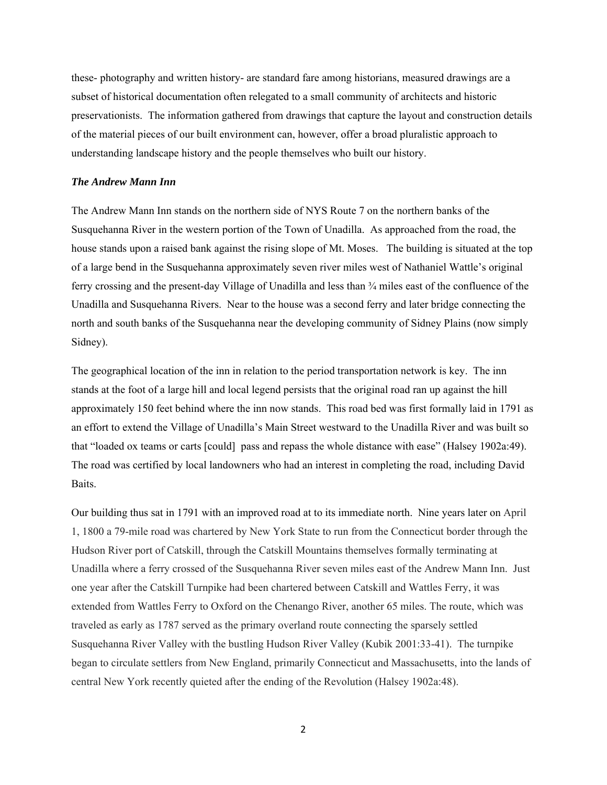these- photography and written history- are standard fare among historians, measured drawings are a subset of historical documentation often relegated to a small community of architects and historic preservationists. The information gathered from drawings that capture the layout and construction details of the material pieces of our built environment can, however, offer a broad pluralistic approach to understanding landscape history and the people themselves who built our history.

## *The Andrew Mann Inn*

The Andrew Mann Inn stands on the northern side of NYS Route 7 on the northern banks of the Susquehanna River in the western portion of the Town of Unadilla. As approached from the road, the house stands upon a raised bank against the rising slope of Mt. Moses. The building is situated at the top of a large bend in the Susquehanna approximately seven river miles west of Nathaniel Wattle's original ferry crossing and the present-day Village of Unadilla and less than ¾ miles east of the confluence of the Unadilla and Susquehanna Rivers. Near to the house was a second ferry and later bridge connecting the north and south banks of the Susquehanna near the developing community of Sidney Plains (now simply Sidney).

The geographical location of the inn in relation to the period transportation network is key. The inn stands at the foot of a large hill and local legend persists that the original road ran up against the hill approximately 150 feet behind where the inn now stands. This road bed was first formally laid in 1791 as an effort to extend the Village of Unadilla's Main Street westward to the Unadilla River and was built so that "loaded ox teams or carts [could] pass and repass the whole distance with ease" (Halsey 1902a:49). The road was certified by local landowners who had an interest in completing the road, including David Baits.

Our building thus sat in 1791 with an improved road at to its immediate north. Nine years later on April 1, 1800 a 79-mile road was chartered by New York State to run from the Connecticut border through the Hudson River port of Catskill, through the Catskill Mountains themselves formally terminating at Unadilla where a ferry crossed of the Susquehanna River seven miles east of the Andrew Mann Inn. Just one year after the Catskill Turnpike had been chartered between Catskill and Wattles Ferry, it was extended from Wattles Ferry to Oxford on the Chenango River, another 65 miles. The route, which was traveled as early as 1787 served as the primary overland route connecting the sparsely settled Susquehanna River Valley with the bustling Hudson River Valley (Kubik 2001:33-41). The turnpike began to circulate settlers from New England, primarily Connecticut and Massachusetts, into the lands of central New York recently quieted after the ending of the Revolution (Halsey 1902a:48).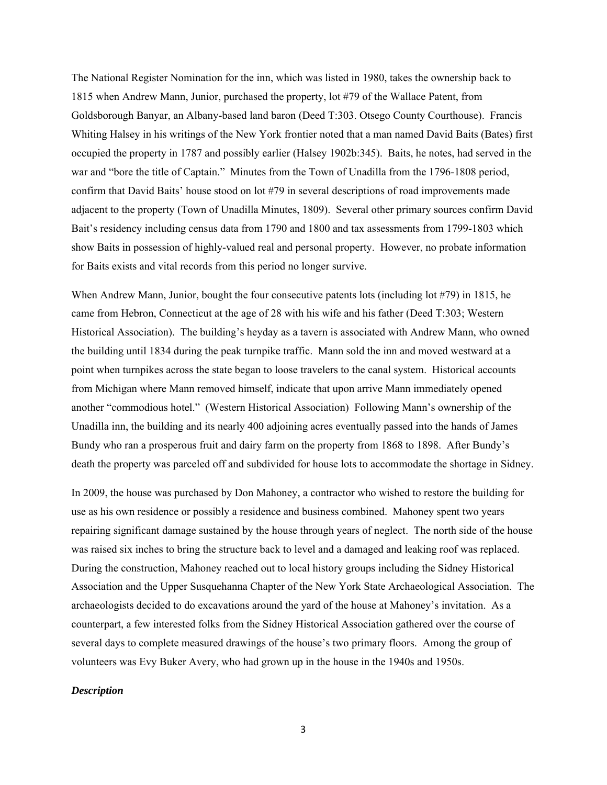The National Register Nomination for the inn, which was listed in 1980, takes the ownership back to 1815 when Andrew Mann, Junior, purchased the property, lot #79 of the Wallace Patent, from Goldsborough Banyar, an Albany-based land baron (Deed T:303. Otsego County Courthouse). Francis Whiting Halsey in his writings of the New York frontier noted that a man named David Baits (Bates) first occupied the property in 1787 and possibly earlier (Halsey 1902b:345). Baits, he notes, had served in the war and "bore the title of Captain." Minutes from the Town of Unadilla from the 1796-1808 period, confirm that David Baits' house stood on lot #79 in several descriptions of road improvements made adjacent to the property (Town of Unadilla Minutes, 1809). Several other primary sources confirm David Bait's residency including census data from 1790 and 1800 and tax assessments from 1799-1803 which show Baits in possession of highly-valued real and personal property. However, no probate information for Baits exists and vital records from this period no longer survive.

When Andrew Mann, Junior, bought the four consecutive patents lots (including lot #79) in 1815, he came from Hebron, Connecticut at the age of 28 with his wife and his father (Deed T:303; Western Historical Association). The building's heyday as a tavern is associated with Andrew Mann, who owned the building until 1834 during the peak turnpike traffic. Mann sold the inn and moved westward at a point when turnpikes across the state began to loose travelers to the canal system. Historical accounts from Michigan where Mann removed himself, indicate that upon arrive Mann immediately opened another "commodious hotel." (Western Historical Association) Following Mann's ownership of the Unadilla inn, the building and its nearly 400 adjoining acres eventually passed into the hands of James Bundy who ran a prosperous fruit and dairy farm on the property from 1868 to 1898. After Bundy's death the property was parceled off and subdivided for house lots to accommodate the shortage in Sidney.

In 2009, the house was purchased by Don Mahoney, a contractor who wished to restore the building for use as his own residence or possibly a residence and business combined. Mahoney spent two years repairing significant damage sustained by the house through years of neglect. The north side of the house was raised six inches to bring the structure back to level and a damaged and leaking roof was replaced. During the construction, Mahoney reached out to local history groups including the Sidney Historical Association and the Upper Susquehanna Chapter of the New York State Archaeological Association. The archaeologists decided to do excavations around the yard of the house at Mahoney's invitation. As a counterpart, a few interested folks from the Sidney Historical Association gathered over the course of several days to complete measured drawings of the house's two primary floors. Among the group of volunteers was Evy Buker Avery, who had grown up in the house in the 1940s and 1950s.

### *Description*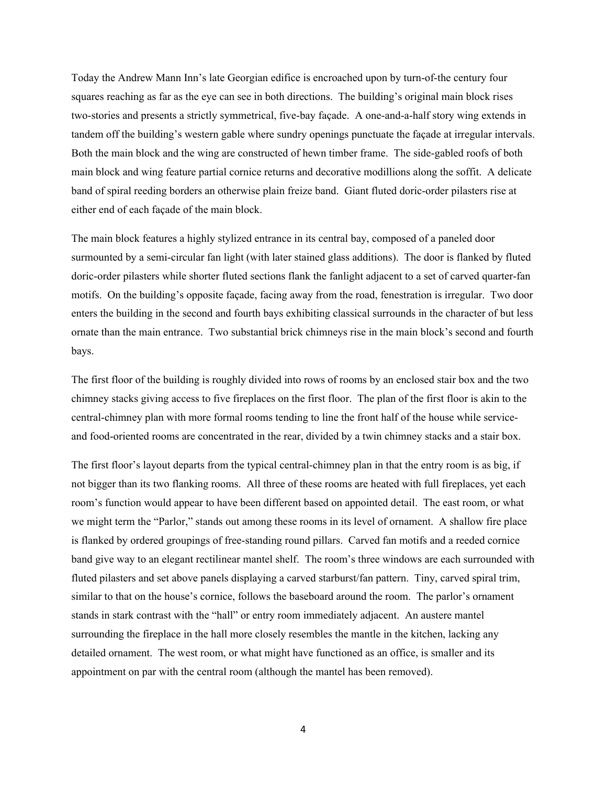Today the Andrew Mann Inn's late Georgian edifice is encroached upon by turn-of-the century four squares reaching as far as the eye can see in both directions. The building's original main block rises two-stories and presents a strictly symmetrical, five-bay façade. A one-and-a-half story wing extends in tandem off the building's western gable where sundry openings punctuate the façade at irregular intervals. Both the main block and the wing are constructed of hewn timber frame. The side-gabled roofs of both main block and wing feature partial cornice returns and decorative modillions along the soffit. A delicate band of spiral reeding borders an otherwise plain freize band. Giant fluted doric-order pilasters rise at either end of each façade of the main block.

The main block features a highly stylized entrance in its central bay, composed of a paneled door surmounted by a semi-circular fan light (with later stained glass additions). The door is flanked by fluted doric-order pilasters while shorter fluted sections flank the fanlight adjacent to a set of carved quarter-fan motifs. On the building's opposite façade, facing away from the road, fenestration is irregular. Two door enters the building in the second and fourth bays exhibiting classical surrounds in the character of but less ornate than the main entrance. Two substantial brick chimneys rise in the main block's second and fourth bays.

The first floor of the building is roughly divided into rows of rooms by an enclosed stair box and the two chimney stacks giving access to five fireplaces on the first floor. The plan of the first floor is akin to the central-chimney plan with more formal rooms tending to line the front half of the house while serviceand food-oriented rooms are concentrated in the rear, divided by a twin chimney stacks and a stair box.

The first floor's layout departs from the typical central-chimney plan in that the entry room is as big, if not bigger than its two flanking rooms. All three of these rooms are heated with full fireplaces, yet each room's function would appear to have been different based on appointed detail. The east room, or what we might term the "Parlor," stands out among these rooms in its level of ornament. A shallow fire place is flanked by ordered groupings of free-standing round pillars. Carved fan motifs and a reeded cornice band give way to an elegant rectilinear mantel shelf. The room's three windows are each surrounded with fluted pilasters and set above panels displaying a carved starburst/fan pattern. Tiny, carved spiral trim, similar to that on the house's cornice, follows the baseboard around the room. The parlor's ornament stands in stark contrast with the "hall" or entry room immediately adjacent. An austere mantel surrounding the fireplace in the hall more closely resembles the mantle in the kitchen, lacking any detailed ornament. The west room, or what might have functioned as an office, is smaller and its appointment on par with the central room (although the mantel has been removed).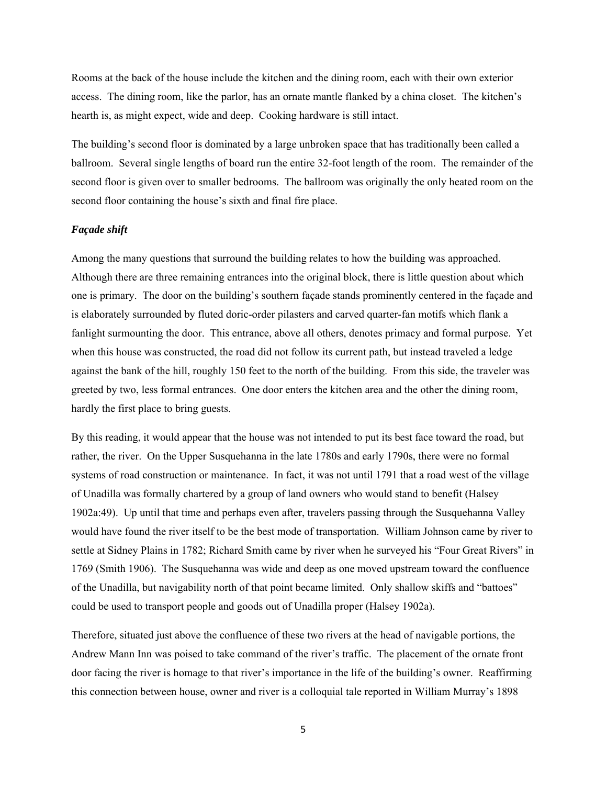Rooms at the back of the house include the kitchen and the dining room, each with their own exterior access. The dining room, like the parlor, has an ornate mantle flanked by a china closet. The kitchen's hearth is, as might expect, wide and deep. Cooking hardware is still intact.

The building's second floor is dominated by a large unbroken space that has traditionally been called a ballroom. Several single lengths of board run the entire 32-foot length of the room. The remainder of the second floor is given over to smaller bedrooms. The ballroom was originally the only heated room on the second floor containing the house's sixth and final fire place.

# *Façade shift*

Among the many questions that surround the building relates to how the building was approached. Although there are three remaining entrances into the original block, there is little question about which one is primary. The door on the building's southern façade stands prominently centered in the façade and is elaborately surrounded by fluted doric-order pilasters and carved quarter-fan motifs which flank a fanlight surmounting the door. This entrance, above all others, denotes primacy and formal purpose. Yet when this house was constructed, the road did not follow its current path, but instead traveled a ledge against the bank of the hill, roughly 150 feet to the north of the building. From this side, the traveler was greeted by two, less formal entrances. One door enters the kitchen area and the other the dining room, hardly the first place to bring guests.

By this reading, it would appear that the house was not intended to put its best face toward the road, but rather, the river. On the Upper Susquehanna in the late 1780s and early 1790s, there were no formal systems of road construction or maintenance. In fact, it was not until 1791 that a road west of the village of Unadilla was formally chartered by a group of land owners who would stand to benefit (Halsey 1902a:49). Up until that time and perhaps even after, travelers passing through the Susquehanna Valley would have found the river itself to be the best mode of transportation. William Johnson came by river to settle at Sidney Plains in 1782; Richard Smith came by river when he surveyed his "Four Great Rivers" in 1769 (Smith 1906). The Susquehanna was wide and deep as one moved upstream toward the confluence of the Unadilla, but navigability north of that point became limited. Only shallow skiffs and "battoes" could be used to transport people and goods out of Unadilla proper (Halsey 1902a).

Therefore, situated just above the confluence of these two rivers at the head of navigable portions, the Andrew Mann Inn was poised to take command of the river's traffic. The placement of the ornate front door facing the river is homage to that river's importance in the life of the building's owner. Reaffirming this connection between house, owner and river is a colloquial tale reported in William Murray's 1898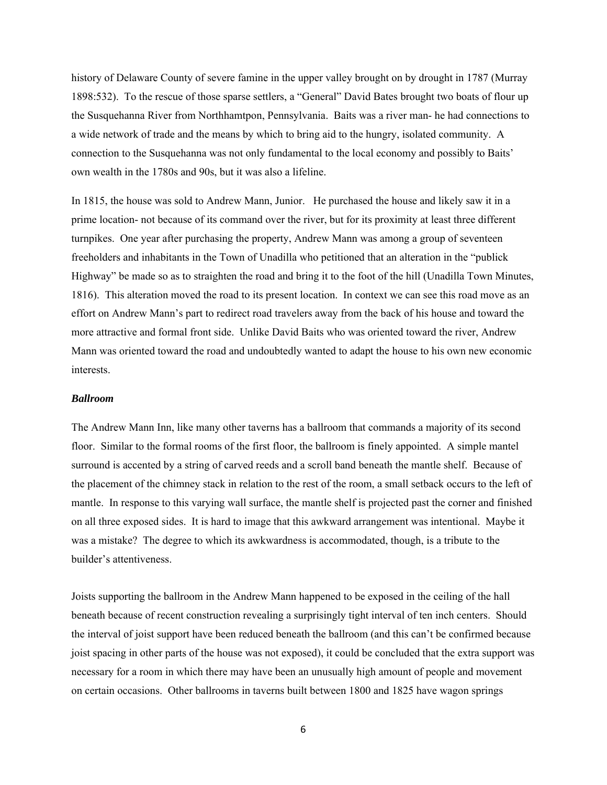history of Delaware County of severe famine in the upper valley brought on by drought in 1787 (Murray 1898:532). To the rescue of those sparse settlers, a "General" David Bates brought two boats of flour up the Susquehanna River from Northhamtpon, Pennsylvania. Baits was a river man- he had connections to a wide network of trade and the means by which to bring aid to the hungry, isolated community. A connection to the Susquehanna was not only fundamental to the local economy and possibly to Baits' own wealth in the 1780s and 90s, but it was also a lifeline.

In 1815, the house was sold to Andrew Mann, Junior. He purchased the house and likely saw it in a prime location- not because of its command over the river, but for its proximity at least three different turnpikes. One year after purchasing the property, Andrew Mann was among a group of seventeen freeholders and inhabitants in the Town of Unadilla who petitioned that an alteration in the "publick Highway" be made so as to straighten the road and bring it to the foot of the hill (Unadilla Town Minutes, 1816). This alteration moved the road to its present location. In context we can see this road move as an effort on Andrew Mann's part to redirect road travelers away from the back of his house and toward the more attractive and formal front side. Unlike David Baits who was oriented toward the river, Andrew Mann was oriented toward the road and undoubtedly wanted to adapt the house to his own new economic interests.

# *Ballroom*

The Andrew Mann Inn, like many other taverns has a ballroom that commands a majority of its second floor. Similar to the formal rooms of the first floor, the ballroom is finely appointed. A simple mantel surround is accented by a string of carved reeds and a scroll band beneath the mantle shelf. Because of the placement of the chimney stack in relation to the rest of the room, a small setback occurs to the left of mantle. In response to this varying wall surface, the mantle shelf is projected past the corner and finished on all three exposed sides. It is hard to image that this awkward arrangement was intentional. Maybe it was a mistake? The degree to which its awkwardness is accommodated, though, is a tribute to the builder's attentiveness.

Joists supporting the ballroom in the Andrew Mann happened to be exposed in the ceiling of the hall beneath because of recent construction revealing a surprisingly tight interval of ten inch centers. Should the interval of joist support have been reduced beneath the ballroom (and this can't be confirmed because joist spacing in other parts of the house was not exposed), it could be concluded that the extra support was necessary for a room in which there may have been an unusually high amount of people and movement on certain occasions. Other ballrooms in taverns built between 1800 and 1825 have wagon springs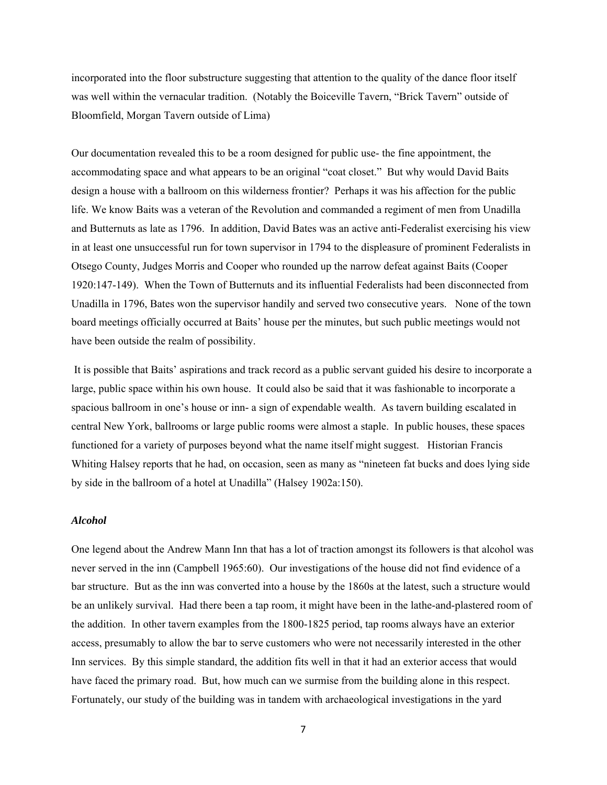incorporated into the floor substructure suggesting that attention to the quality of the dance floor itself was well within the vernacular tradition. (Notably the Boiceville Tavern, "Brick Tavern" outside of Bloomfield, Morgan Tavern outside of Lima)

Our documentation revealed this to be a room designed for public use- the fine appointment, the accommodating space and what appears to be an original "coat closet." But why would David Baits design a house with a ballroom on this wilderness frontier? Perhaps it was his affection for the public life. We know Baits was a veteran of the Revolution and commanded a regiment of men from Unadilla and Butternuts as late as 1796. In addition, David Bates was an active anti-Federalist exercising his view in at least one unsuccessful run for town supervisor in 1794 to the displeasure of prominent Federalists in Otsego County, Judges Morris and Cooper who rounded up the narrow defeat against Baits (Cooper 1920:147-149). When the Town of Butternuts and its influential Federalists had been disconnected from Unadilla in 1796, Bates won the supervisor handily and served two consecutive years. None of the town board meetings officially occurred at Baits' house per the minutes, but such public meetings would not have been outside the realm of possibility.

 It is possible that Baits' aspirations and track record as a public servant guided his desire to incorporate a large, public space within his own house. It could also be said that it was fashionable to incorporate a spacious ballroom in one's house or inn- a sign of expendable wealth. As tavern building escalated in central New York, ballrooms or large public rooms were almost a staple. In public houses, these spaces functioned for a variety of purposes beyond what the name itself might suggest. Historian Francis Whiting Halsey reports that he had, on occasion, seen as many as "nineteen fat bucks and does lying side by side in the ballroom of a hotel at Unadilla" (Halsey 1902a:150).

### *Alcohol*

One legend about the Andrew Mann Inn that has a lot of traction amongst its followers is that alcohol was never served in the inn (Campbell 1965:60). Our investigations of the house did not find evidence of a bar structure. But as the inn was converted into a house by the 1860s at the latest, such a structure would be an unlikely survival. Had there been a tap room, it might have been in the lathe-and-plastered room of the addition. In other tavern examples from the 1800-1825 period, tap rooms always have an exterior access, presumably to allow the bar to serve customers who were not necessarily interested in the other Inn services. By this simple standard, the addition fits well in that it had an exterior access that would have faced the primary road. But, how much can we surmise from the building alone in this respect. Fortunately, our study of the building was in tandem with archaeological investigations in the yard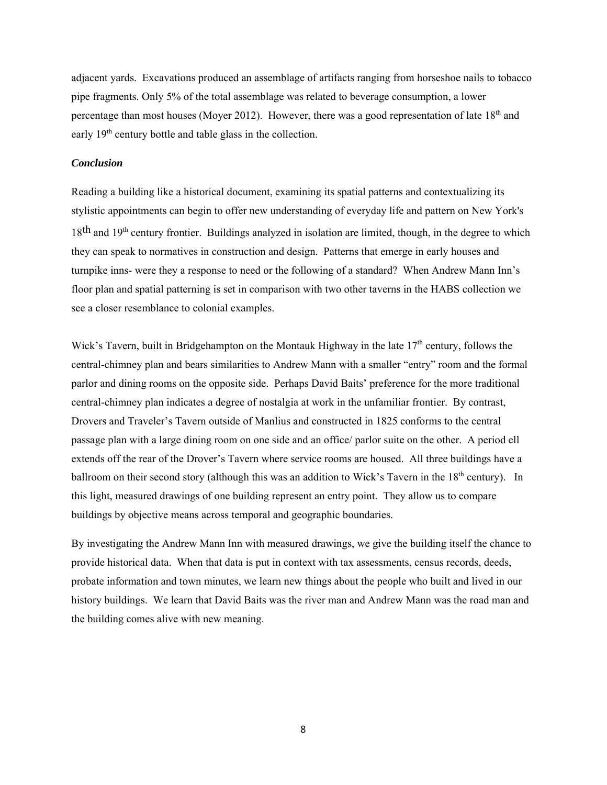adjacent yards. Excavations produced an assemblage of artifacts ranging from horseshoe nails to tobacco pipe fragments. Only 5% of the total assemblage was related to beverage consumption, a lower percentage than most houses (Moyer 2012). However, there was a good representation of late  $18<sup>th</sup>$  and early  $19<sup>th</sup>$  century bottle and table glass in the collection.

# *Conclusion*

Reading a building like a historical document, examining its spatial patterns and contextualizing its stylistic appointments can begin to offer new understanding of everyday life and pattern on New York's  $18<sup>th</sup>$  and  $19<sup>th</sup>$  century frontier. Buildings analyzed in isolation are limited, though, in the degree to which they can speak to normatives in construction and design. Patterns that emerge in early houses and turnpike inns- were they a response to need or the following of a standard? When Andrew Mann Inn's floor plan and spatial patterning is set in comparison with two other taverns in the HABS collection we see a closer resemblance to colonial examples.

Wick's Tavern, built in Bridgehampton on the Montauk Highway in the late 17<sup>th</sup> century, follows the central-chimney plan and bears similarities to Andrew Mann with a smaller "entry" room and the formal parlor and dining rooms on the opposite side. Perhaps David Baits' preference for the more traditional central-chimney plan indicates a degree of nostalgia at work in the unfamiliar frontier. By contrast, Drovers and Traveler's Tavern outside of Manlius and constructed in 1825 conforms to the central passage plan with a large dining room on one side and an office/ parlor suite on the other. A period ell extends off the rear of the Drover's Tavern where service rooms are housed. All three buildings have a ballroom on their second story (although this was an addition to Wick's Tavern in the  $18<sup>th</sup>$  century). In this light, measured drawings of one building represent an entry point. They allow us to compare buildings by objective means across temporal and geographic boundaries.

By investigating the Andrew Mann Inn with measured drawings, we give the building itself the chance to provide historical data. When that data is put in context with tax assessments, census records, deeds, probate information and town minutes, we learn new things about the people who built and lived in our history buildings. We learn that David Baits was the river man and Andrew Mann was the road man and the building comes alive with new meaning.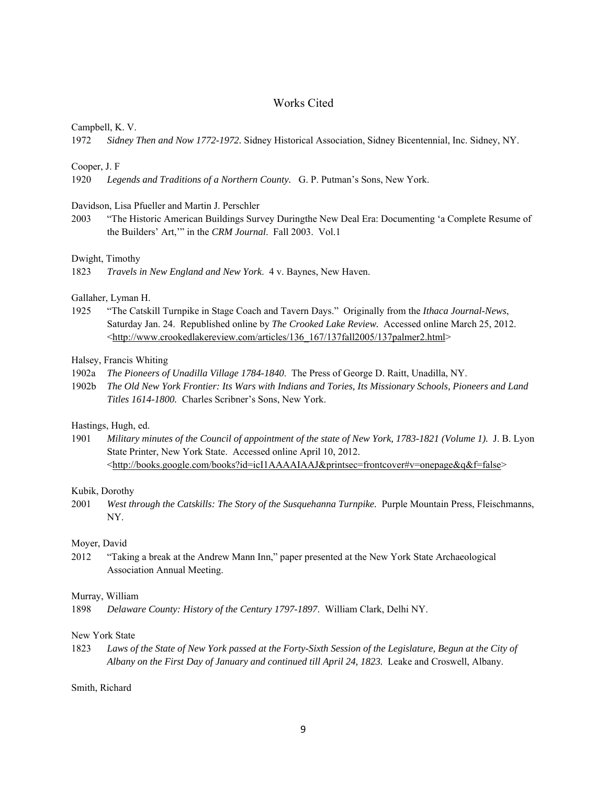# Works Cited

#### Campbell, K. V.

1972 *Sidney Then and Now 1772-1972.* Sidney Historical Association, Sidney Bicentennial, Inc. Sidney, NY.

#### Cooper, J. F

1920 *Legends and Traditions of a Northern County.* G. P. Putman's Sons, New York.

### Davidson, Lisa Pfueller and Martin J. Perschler

2003 "The Historic American Buildings Survey Duringthe New Deal Era: Documenting 'a Complete Resume of the Builders' Art,'" in the *CRM Journal*. Fall 2003. Vol.1

#### Dwight, Timothy

1823 *Travels in New England and New York*. 4 v. Baynes, New Haven.

#### Gallaher, Lyman H.

1925 "The Catskill Turnpike in Stage Coach and Tavern Days." Originally from the *Ithaca Journal-News*, Saturday Jan. 24. Republished online by *The Crooked Lake Review.* Accessed online March 25, 2012. <http://www.crookedlakereview.com/articles/136\_167/137fall2005/137palmer2.html>

#### Halsey, Francis Whiting

- 1902a *The Pioneers of Unadilla Village 1784-1840*. The Press of George D. Raitt, Unadilla, NY.
- 1902b *The Old New York Frontier: Its Wars with Indians and Tories, Its Missionary Schools, Pioneers and Land Titles 1614-1800.* Charles Scribner's Sons, New York.

### Hastings, Hugh, ed.

1901 *Military minutes of the Council of appointment of the state of New York, 1783-1821 (Volume 1).* J. B. Lyon State Printer, New York State. Accessed online April 10, 2012. <http://books.google.com/books?id=icI1AAAAIAAJ&printsec=frontcover#v=onepage&q&f=false>

### Kubik, Dorothy

2001 *West through the Catskills: The Story of the Susquehanna Turnpike.* Purple Mountain Press, Fleischmanns, NY.

### Moyer, David

2012 "Taking a break at the Andrew Mann Inn," paper presented at the New York State Archaeological Association Annual Meeting.

#### Murray, William

1898 *Delaware County: History of the Century 1797-1897*. William Clark, Delhi NY.

#### New York State

1823 *Laws of the State of New York passed at the Forty-Sixth Session of the Legislature, Begun at the City of Albany on the First Day of January and continued till April 24, 1823.* Leake and Croswell, Albany.

Smith, Richard